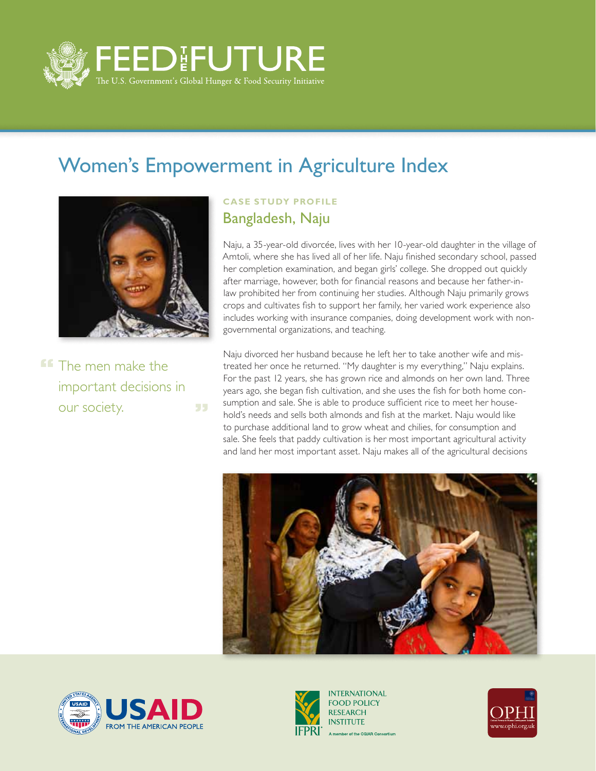

## Women's Empowerment in Agriculture Index



**FF** The men make the important decisions in our society. 55

## **CASE STUDY PROFILE** Bangladesh, Naju

Naju, a 35-year-old divorcée, lives with her 10-year-old daughter in the village of Amtoli, where she has lived all of her life. Naju finished secondary school, passed her completion examination, and began girls' college. She dropped out quickly after marriage, however, both for financial reasons and because her father-inlaw prohibited her from continuing her studies. Although Naju primarily grows crops and cultivates fish to support her family, her varied work experience also includes working with insurance companies, doing development work with nongovernmental organizations, and teaching.

Naju divorced her husband because he left her to take another wife and mistreated her once he returned. "My daughter is my everything," Naju explains. For the past 12 years, she has grown rice and almonds on her own land. Three years ago, she began fish cultivation, and she uses the fish for both home consumption and sale. She is able to produce sufficient rice to meet her household's needs and sells both almonds and fish at the market. Naju would like to purchase additional land to grow wheat and chilies, for consumption and sale. She feels that paddy cultivation is her most important agricultural activity and land her most important asset. Naju makes all of the agricultural decisions







**INTERNATIONAL FOOD POLICY RESEARCH INSTITUTE** A member of the CGIAR Consortium